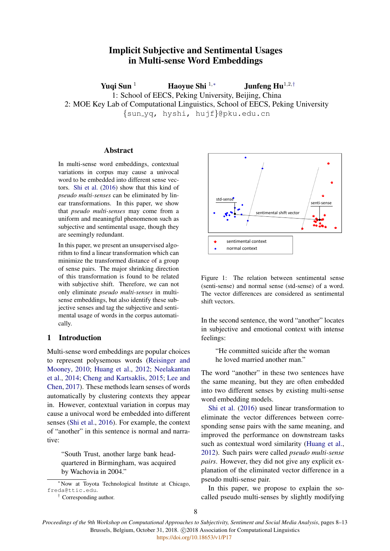# Implicit Subjective and Sentimental Usages in Multi-sense Word Embeddings

Yuqi Sun <sup>1</sup> Haoyue Shi <sup>1,∗</sup> Junfeng Hu<sup>1,2,†</sup> 1: School of EECS, Peking University, Beijing, China 2: MOE Key Lab of Computational Linguistics, School of EECS, Peking University {sun yq, hyshi, hujf}@pku.edu.cn

# Abstract

In multi-sense word embeddings, contextual variations in corpus may cause a univocal word to be embedded into different sense vectors. [Shi et al.](#page-5-0) [\(2016\)](#page-5-0) show that this kind of *pseudo multi-senses* can be eliminated by linear transformations. In this paper, we show that *pseudo multi-senses* may come from a uniform and meaningful phenomenon such as subjective and sentimental usage, though they are seemingly redundant.

In this paper, we present an unsupervised algorithm to find a linear transformation which can minimize the transformed distance of a group of sense pairs. The major shrinking direction of this transformation is found to be related with subjective shift. Therefore, we can not only eliminate *pseudo multi-senses* in multisense embeddings, but also identify these subjective senses and tag the subjective and sentimental usage of words in the corpus automatically.

## 1 Introduction

Multi-sense word embeddings are popular choices to represent polysemous words [\(Reisinger and](#page-4-0) [Mooney,](#page-4-0) [2010;](#page-4-0) [Huang et al.,](#page-4-1) [2012;](#page-4-1) [Neelakantan](#page-4-2) [et al.,](#page-4-2) [2014;](#page-4-2) [Cheng and Kartsaklis,](#page-4-3) [2015;](#page-4-3) [Lee and](#page-4-4) [Chen,](#page-4-4) [2017\)](#page-4-4). These methods learn senses of words automatically by clustering contexts they appear in. However, contextual variation in corpus may cause a univocal word be embedded into different senses [\(Shi et al.,](#page-5-0) [2016\)](#page-5-0). For example, the context of "another" in this sentence is normal and narrative: In this paper, we present an unsupervised algo-<br>
inthis to find a linear transformation which can<br>
minimize the transformated is found to the accupation with subjective shift. Therefore, we can not<br>
or this tansformation

"South Trust, another large bank headquartered in Birmingham, was acquired by Wachovia in 2004."

<sup>∗</sup>Now at Toyota Technological Institute at Chicago, freda@ttic.edu.



<span id="page-0-0"></span>Figure 1: The relation between sentimental sense (senti-sense) and normal sense (std-sense) of a word. The vector differences are considered as sentimental shift vectors.

In the second sentence, the word "another" locates in subjective and emotional context with intense feelings:

"He committed suicide after the woman he loved married another man."

The word "another" in these two sentences have the same meaning, but they are often embedded into two different senses by existing multi-sense word embedding models.

[Shi et al.](#page-5-0) [\(2016\)](#page-5-0) used linear transformation to eliminate the vector differences between corresponding sense pairs with the same meaning, and improved the performance on downstream tasks such as contextual word similarity [\(Huang et al.,](#page-4-1) [2012\)](#page-4-1). Such pairs were called *pseudo multi-sense pairs*. However, they did not give any explicit explanation of the eliminated vector difference in a pseudo multi-sense pair.

In this paper, we propose to explain the socalled pseudo multi-senses by slightly modifying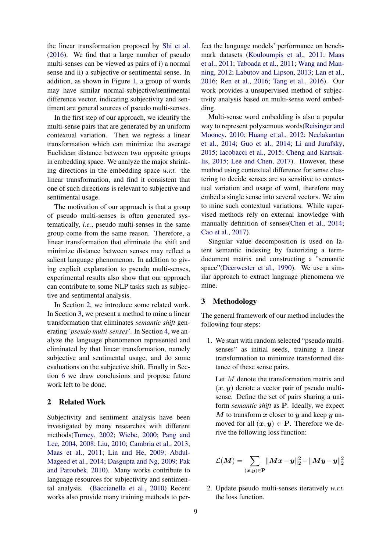the linear transformation proposed by [Shi et al.](#page-5-0) [\(2016\)](#page-5-0). We find that a large number of pseudo multi-senses can be viewed as pairs of i) a normal sense and ii) a subjective or sentimental sense. In addition, as shown in Figure [1,](#page-0-0) a group of words may have similar normal-subjective/sentimental difference vector, indicating subjectivity and sentiment are general sources of pseudo multi-senses.

In the first step of our approach, we identify the multi-sense pairs that are generated by an uniform contextual variation. Then we regress a linear transformation which can minimize the average Euclidean distance between two opposite groups in embedding space. We analyze the major shrinking directions in the embedding space *w.r.t.* the linear transformation, and find it consistent that one of such directions is relevant to subjective and sentimental usage.

The motivation of our approach is that a group of pseudo multi-senses is often generated systematically, *i.e.*, pseudo multi-senses in the same group come from the same reason. Therefore, a linear transformation that eliminate the shift and minimize distance between senses may reflect a salient language phenomenon. In addition to giving explicit explanation to pseudo multi-senses, experimental results also show that our approach can contribute to some NLP tasks such as subjective and sentimental analysis.

In Section [2,](#page-1-0) we introduce some related work. In Section [3,](#page-1-1) we present a method to mine a linear transformation that eliminates *semantic shift* generating *'pseudo multi-senses'*. In Section [4,](#page-2-0) we analyze the language phenomenon represented and eliminated by that linear transformation, namely subjective and sentimental usage, and do some evaluations on the subjective shift. Finally in Section [6](#page-4-5) we draw conclusions and propose future work left to be done.

# <span id="page-1-0"></span>2 Related Work

Subjectivity and sentiment analysis have been investigated by many researches with different methods[\(Turney,](#page-5-1) [2002;](#page-5-1) [Wiebe,](#page-5-2) [2000;](#page-5-2) [Pang and](#page-4-6) [Lee,](#page-4-6) [2004,](#page-4-6) [2008;](#page-4-7) [Liu,](#page-4-8) [2010;](#page-4-8) [Cambria et al.,](#page-4-9) [2013;](#page-4-9) [Maas et al.,](#page-4-10) [2011;](#page-4-10) [Lin and He,](#page-4-11) [2009;](#page-4-11) [Abdul-](#page-4-12)[Mageed et al.,](#page-4-12) [2014;](#page-4-12) [Dasgupta and Ng,](#page-4-13) [2009;](#page-4-13) [Pak](#page-4-14) [and Paroubek,](#page-4-14) [2010\)](#page-4-14). Many works contribute to language resources for subjectivity and sentimental analysis. [\(Baccianella et al.,](#page-4-15) [2010\)](#page-4-15) Recent works also provide many training methods to per-

fect the language models' performance on benchmark datasets [\(Kouloumpis et al.,](#page-4-16) [2011;](#page-4-16) [Maas](#page-4-10) [et al.,](#page-4-10) [2011;](#page-4-10) [Taboada et al.,](#page-5-3) [2011;](#page-5-3) [Wang and Man](#page-5-4)[ning,](#page-5-4) [2012;](#page-5-4) [Labutov and Lipson,](#page-4-17) [2013;](#page-4-17) [Lan et al.,](#page-4-18) [2016;](#page-4-18) [Ren et al.,](#page-5-5) [2016;](#page-5-5) [Tang et al.,](#page-5-6) [2016\)](#page-5-6). Our work provides a unsupervised method of subjectivity analysis based on multi-sense word embedding.

Multi-sense word embedding is also a popular way to represent polysemous words[\(Reisinger and](#page-4-0) [Mooney,](#page-4-0) [2010;](#page-4-0) [Huang et al.,](#page-4-1) [2012;](#page-4-1) [Neelakantan](#page-4-2) [et al.,](#page-4-2) [2014;](#page-4-2) [Guo et al.,](#page-4-19) [2014;](#page-4-19) [Li and Jurafsky,](#page-4-20) [2015;](#page-4-20) [Iacobacci et al.,](#page-4-21) [2015;](#page-4-21) [Cheng and Kartsak](#page-4-3)[lis,](#page-4-3) [2015;](#page-4-3) [Lee and Chen,](#page-4-4) [2017\)](#page-4-4). However, these method using contextual difference for sense clustering to decide senses are so sensitive to contextual variation and usage of word, therefore may embed a single sense into several vectors. We aim to mine such contextual variations. While supervised methods rely on external knowledge with manually definition of senses[\(Chen et al.,](#page-4-22) [2014;](#page-4-22) [Cao et al.,](#page-4-23) [2017\)](#page-4-23).

Singular value decomposition is used on latent semantic indexing by factorizing a termdocument matrix and constructing a "semantic space"[\(Deerwester et al.,](#page-4-24) [1990\)](#page-4-24). We use a similar approach to extract language phenomena we mine.

## <span id="page-1-1"></span>3 Methodology

The general framework of our method includes the following four steps:

1. We start with random selected "pseudo multisenses" as initial seeds, training a linear transformation to minimize transformed distance of these sense pairs.

Let M denote the transformation matrix and  $(x, y)$  denote a vector pair of pseudo multisense. Define the set of pairs sharing a uniform *semantic shift* as P. Ideally, we expect  $M$  to transform  $x$  closer to  $y$  and keep  $y$  unmoved for all  $(x, y) \in P$ . Therefore we derive the following loss function:

$$
\mathcal{L}(\boldsymbol{M})=\sum_{(\boldsymbol{x},\boldsymbol{y})\in \mathbf{P}} \lVert \boldsymbol{M}\boldsymbol{x}-\boldsymbol{y}\rVert_2^2+\lVert \boldsymbol{M}\boldsymbol{y}-\boldsymbol{y}\rVert_2^2
$$

2. Update pseudo multi-senses iteratively *w.r.t.* the loss function.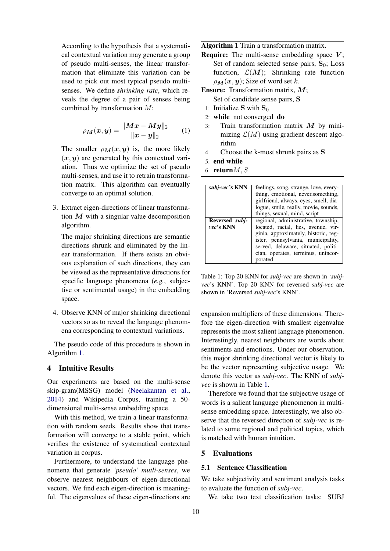According to the hypothesis that a systematical contextual variation may generate a group of pseudo multi-senses, the linear transformation that eliminate this variation can be used to pick out most typical pseudo multisenses. We define *shrinking rate*, which reveals the degree of a pair of senses being combined by transformation M:

$$
\rho_{\bm{M}}(\bm{x}, \bm{y}) = \frac{\|\bm{Mx} - \bm{My}\|_2}{\|\bm{x} - \bm{y}\|_2} \qquad (1)
$$

The smaller  $\rho_M(x, y)$  is, the more likely  $(x, y)$  are generated by this contextual variation. Thus we optimize the set of pseudo multi-senses, and use it to retrain transformation matrix. This algorithm can eventually converge to an optimal solution.

3. Extract eigen-directions of linear transformation  $M$  with a singular value decomposition algorithm.

The major shrinking directions are semantic directions shrunk and eliminated by the linear transformation. If there exists an obvious explanation of such directions, they can be viewed as the representative directions for specific language phenomena (*e.g.*, subjective or sentimental usage) in the embedding space.

4. Observe KNN of major shrinking directional vectors so as to reveal the language phenomena corresponding to contextual variations.

The pseudo code of this procedure is shown in Algorithm [1.](#page-2-1)

# <span id="page-2-0"></span>4 Intuitive Results

Our experiments are based on the multi-sense skip-gram(MSSG) model [\(Neelakantan et al.,](#page-4-2) [2014\)](#page-4-2) and Wikipedia Corpus, training a 50 dimensional multi-sense embedding space.

With this method, we train a linear transformation with random seeds. Results show that transformation will converge to a stable point, which verifies the existence of systematical contextual variation in corpus.

Furthermore, to understand the language phenomena that generate *'pseudo' mutli-senses*, we observe nearest neighbours of eigen-directional vectors. We find each eigen-direction is meaningful. The eigenvalues of these eigen-directions are Algorithm 1 Train a transformation matrix.

- **Require:** The multi-sense embedding space  $\overline{V}$ : Set of random selected sense pairs,  $S_0$ ; Loss function,  $\mathcal{L}(\mathbf{M})$ ; Shrinking rate function  $\rho_M(x, y)$ ; Size of word set k.
- Ensure: Transformation matrix, M;
	- Set of candidate sense pairs, S
	- 1: Initialize S with  $S_0$
- 2: while not converged do
- 3: Train transformation matrix  $M$  by minimizing  $\mathcal{L}(M)$  using gradient descent algorithm
- 4: Choose the k-most shrunk pairs as S
- 5: end while
- 6: return $M, S$

<span id="page-2-1"></span>

| subj-vec's KNN | feelings, song, strange, love, every- |
|----------------|---------------------------------------|
|                | thing, emotional, never, something,   |
|                | girlfriend, always, eyes, smell, dia- |
|                | logue, smile, really, movie, sounds,  |
|                | things, sexual, mind, script          |
| Reversed subj- | regional, administrative, township,   |
| vec's KNN      | located, racial, lies, avenue, vir-   |
|                | ginia, approximately, historic, reg-  |
|                | ister, pennsylvania, municipality,    |
|                | served, delaware, situated, politi-   |
|                | cian, operates, terminus, unincor-    |
|                | porated                               |

<span id="page-2-2"></span>Table 1: Top 20 KNN for *subj-vec* are shown in '*subjvec*'s KNN'. Top 20 KNN for reversed *subj-vec* are shown in 'Reversed *subj-vec*'s KNN'.

expansion multipliers of these dimensions. Therefore the eigen-direction with smallest eigenvalue represents the most salient language phenomenon. Interestingly, nearest neighbours are words about sentiments and emotions. Under our observation, this major shrinking directional vector is likely to be the vector representing subjective usage. We denote this vector as *subj-vec*. The KNN of *subjvec* is shown in Table [1.](#page-2-2)

Therefore we found that the subjective usage of words is a salient language phenomenon in multisense embedding space. Interestingly, we also observe that the reversed direction of *subj-vec* is related to some regional and political topics, which is matched with human intuition.

# 5 Evaluations

# 5.1 Sentence Classification

We take subjectivity and sentiment analysis tasks to evaluate the function of *subj-vec*.

We take two text classification tasks: SUBJ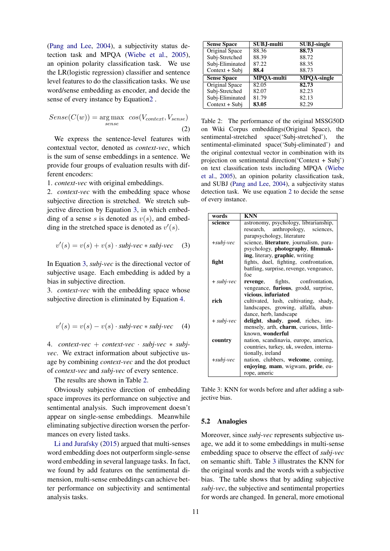[\(Pang and Lee,](#page-4-6) [2004\)](#page-4-6), a subjectivity status detection task and MPQA [\(Wiebe et al.,](#page-5-7) [2005\)](#page-5-7), an opinion polarity classification task. We use the LR(logistic regression) classifier and sentence level features to do the classification tasks. We use word/sense embedding as encoder, and decide the sense of every instance by Equatio[n2](#page-3-0) .

$$
Sense(C(w)) = \underset{sense}{\text{arg max}} \cos(V_{context}, V_{sense})
$$
\n(2)

We express the sentence-level features with contextual vector, denoted as *context-vec*, which is the sum of sense embeddings in a sentence. We provide four groups of evaluation results with different encoders:

1. *context-vec* with original embeddings.

2. *context-vec* with the embedding space whose subjective direction is stretched. We stretch subjective direction by Equation [3,](#page-3-1) in which embedding of a sense s is denoted as  $v(s)$ , and embedding in the stretched space is denoted as  $v'(s)$ .

$$
v'(s) = v(s) + v(s) \cdot \textit{subj-vec} * \textit{subj-vec} \quad (3)
$$

In Equation [3,](#page-3-1) *subj-vec* is the directional vector of subjective usage. Each embedding is added by a bias in subjective direction.

<span id="page-3-2"></span>3. *context-vec* with the embedding space whose subjective direction is eliminated by Equation [4.](#page-3-2)

$$
v'(s) = v(s) - v(s) \cdot \textit{subj-vec} * \textit{subj-vec} \quad (4)
$$

4. *context-vec* + *context-vec* · *subj-vec* ∗ *subjvec*. We extract information about subjective usage by combining *context-vec* and the dot product of *context-vec* and *subj-vec* of every sentence.

The results are shown in Table [2.](#page-3-3)

Obviously subjective direction of embedding space improves its performance on subjective and sentimental analysis. Such improvement doesn't appear on single-sense embeddings. Meanwhile eliminating subjective direction worsen the performances on every listed tasks.

[Li and Jurafsky](#page-4-20) [\(2015\)](#page-4-20) argued that multi-senses word embedding does not outperform single-sense word embedding in several language tasks. In fact, we found by add features on the sentimental dimension, multi-sense embeddings can achieve better performance on subjectivity and sentimental analysis tasks.

| <b>Sense Space</b> | SUBJ-multi        | <b>SUBJ-single</b> |
|--------------------|-------------------|--------------------|
| Original Space     | 88.36             | 88.73              |
| Subj-Stretched     | 88.39             | 88.72              |
| Subj-Eliminated    | 87.22             | 88.35              |
| Context + Subi     | 88.4              | 88.73              |
| <b>Sense Space</b> | <b>MPOA-multi</b> | <b>MPOA-single</b> |
| Original Space     | 82.05             | 82.73              |
|                    |                   |                    |
| Subj-Stretched     | 82.07             | 82.23              |
| Subj-Eliminated    | 81.79             | 82.13              |

<span id="page-3-3"></span><span id="page-3-0"></span>Table 2: The performance of the original MSSG50D on Wiki Corpus embeddings(Original Space), the sentimental-stretched space('Subj-stretched'), the sentimental-eliminated space('Subj-eliminated') and the original contextual vector in combination with its projection on sentimental direction('Context + Subj') on text classification tests including MPQA [\(Wiebe](#page-5-7) [et al.,](#page-5-7) [2005\)](#page-5-7), an opinion polarity classification task, and SUBJ [\(Pang and Lee,](#page-4-6) [2004\)](#page-4-6), a subjectivity status detection task. We use equation [2](#page-3-0) to decide the sense of every instance.

<span id="page-3-1"></span>

| words        | <b>KNN</b>                                      |
|--------------|-------------------------------------------------|
| science      | astronomy, psychology, librarianship,           |
|              | research, anthropology, sciences,               |
|              | parapsychology, literature                      |
| $+subj-vec$  | science, literature, journalism, para-          |
|              | psychology, photography, filmmak-               |
|              | <b>ing</b> , literary, <b>graphic</b> , writing |
| fight        | fights, duel, fighting, confrontation,          |
|              | battling, surprise, revenge, vengeance,         |
|              | foe                                             |
| $+$ subj-vec | <b>revenge</b> , fights, confrontation,         |
|              | vengeance, <b>furious</b> , grodd, surprise,    |
|              | vicious, infuriated                             |
| rich         | cultivated, lush, cultivating, shady,           |
|              | landscapes, growing, alfalfa, abun-             |
|              | dance, herb, landscape                          |
| $+$ subj-vec | delight, shady, good, riches, im-               |
|              | mensely, arth, charm, curious, little-          |
|              | known, wonderful                                |
| country      | nation, scandinavia, europe, america,           |
|              | countries, turkey, uk, sweden, interna-         |
|              | tionally, ireland                               |
| $+subj-vec$  | nation, clubbers, welcome, coming,              |
|              | enjoying, mam, wigwam, pride, eu-               |
|              | rope, americ                                    |

<span id="page-3-4"></span>Table 3: KNN for words before and after adding a subjective bias.

#### 5.2 Analogies

Moreover, since *subj-vec* represents subjective usage, we add it to some embeddings in multi-sense embedding space to observe the effect of *subj-vec* on semantic shift. Table [3](#page-3-4) illustrates the KNN for the original words and the words with a subjective bias. The table shows that by adding subjective *subj-vec*, the subjective and sentimental properties for words are changed. In general, more emotional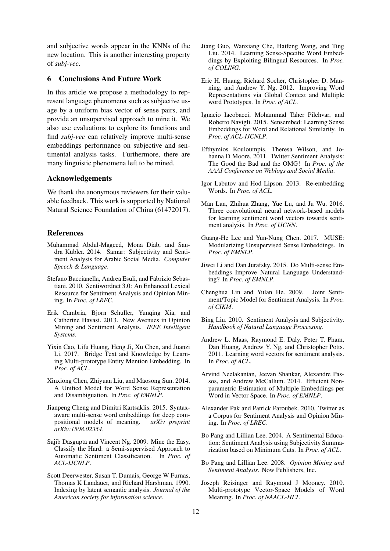and subjective words appear in the KNNs of the new location. This is another interesting property of *subj-vec*.

# <span id="page-4-5"></span>6 Conclusions And Future Work

In this article we propose a methodology to represent language phenomena such as subjective usage by a uniform bias vector of sense pairs, and provide an unsupervised approach to mine it. We also use evaluations to explore its functions and find *subj-vec* can relatively improve multi-sense embeddings performance on subjective and sentimental analysis tasks. Furthermore, there are many linguistic phenomena left to be mined.

## Acknowledgements

We thank the anonymous reviewers for their valuable feedback. This work is supported by National Natural Science Foundation of China (61472017).

### References

- <span id="page-4-12"></span>Muhammad Abdul-Mageed, Mona Diab, and Sandra Kübler. 2014. Samar: Subjectivity and Sentiment Analysis for Arabic Social Media. *Computer Speech & Language*.
- <span id="page-4-15"></span>Stefano Baccianella, Andrea Esuli, and Fabrizio Sebastiani. 2010. Sentiwordnet 3.0: An Enhanced Lexical Resource for Sentiment Analysis and Opinion Mining. In *Proc. of LREC*.
- <span id="page-4-9"></span>Erik Cambria, Bjorn Schuller, Yunqing Xia, and Catherine Havasi. 2013. New Avenues in Opinion Mining and Sentiment Analysis. *IEEE Intelligent Systems*.
- <span id="page-4-23"></span>Yixin Cao, Lifu Huang, Heng Ji, Xu Chen, and Juanzi Li. 2017. Bridge Text and Knowledge by Learning Multi-prototype Entity Mention Embedding. In *Proc. of ACL*.
- <span id="page-4-22"></span>Xinxiong Chen, Zhiyuan Liu, and Maosong Sun. 2014. A Unified Model for Word Sense Representation and Disambiguation. In *Proc. of EMNLP*.
- <span id="page-4-3"></span>Jianpeng Cheng and Dimitri Kartsaklis. 2015. Syntaxaware multi-sense word embeddings for deep compositional models of meaning. *arXiv preprint arXiv:1508.02354*.
- <span id="page-4-13"></span>Sajib Dasgupta and Vincent Ng. 2009. Mine the Easy, Classify the Hard: a Semi-supervised Approach to Automatic Sentiment Classification. In *Proc. of ACL-IJCNLP*.
- <span id="page-4-24"></span>Scott Deerwester, Susan T. Dumais, George W Furnas, Thomas K Landauer, and Richard Harshman. 1990. Indexing by latent semantic analysis. *Journal of the American society for information science*.
- <span id="page-4-19"></span>Jiang Guo, Wanxiang Che, Haifeng Wang, and Ting Liu. 2014. Learning Sense-Specific Word Embeddings by Exploiting Bilingual Resources. In *Proc. of COLING*.
- <span id="page-4-1"></span>Eric H. Huang, Richard Socher, Christopher D. Manning, and Andrew Y. Ng. 2012. Improving Word Representations via Global Context and Multiple word Prototypes. In *Proc. of ACL*.
- <span id="page-4-21"></span>Ignacio Iacobacci, Mohammad Taher Pilehvar, and Roberto Navigli. 2015. Sensembed: Learning Sense Embeddings for Word and Relational Similarity. In *Proc. of ACL-IJCNLP*.
- <span id="page-4-16"></span>Efthymios Kouloumpis, Theresa Wilson, and Johanna D Moore. 2011. Twitter Sentiment Analysis: The Good the Bad and the OMG! In *Proc. of the AAAI Conference on Weblogs and Social Media*.
- <span id="page-4-17"></span>Igor Labutov and Hod Lipson. 2013. Re-embedding Words. In *Proc. of ACL*.
- <span id="page-4-18"></span>Man Lan, Zhihua Zhang, Yue Lu, and Ju Wu. 2016. Three convolutional neural network-based models for learning sentiment word vectors towards sentiment analysis. In *Proc. of IJCNN*.
- <span id="page-4-4"></span>Guang-He Lee and Yun-Nung Chen. 2017. MUSE: Modularizing Unsupervised Sense Embeddings. In *Proc. of EMNLP*.
- <span id="page-4-20"></span>Jiwei Li and Dan Jurafsky. 2015. Do Multi-sense Embeddings Improve Natural Language Understanding? In *Proc. of EMNLP*.
- <span id="page-4-11"></span>Chenghua Lin and Yulan He. 2009. Joint Sentiment/Topic Model for Sentiment Analysis. In *Proc. of CIKM*.
- <span id="page-4-8"></span>Bing Liu. 2010. Sentiment Analysis and Subjectivity. *Handbook of Natural Language Processing*.
- <span id="page-4-10"></span>Andrew L. Maas, Raymond E. Daly, Peter T. Pham, Dan Huang, Andrew Y. Ng, and Christopher Potts. 2011. Learning word vectors for sentiment analysis. In *Proc. of ACL*.
- <span id="page-4-2"></span>Arvind Neelakantan, Jeevan Shankar, Alexandre Passos, and Andrew McCallum. 2014. Efficient Nonparametric Estimation of Multiple Embeddings per Word in Vector Space. In *Proc. of EMNLP*.
- <span id="page-4-14"></span>Alexander Pak and Patrick Paroubek. 2010. Twitter as a Corpus for Sentiment Analysis and Opinion Mining. In *Proc. of LREC*.
- <span id="page-4-6"></span>Bo Pang and Lillian Lee. 2004. A Sentimental Education: Sentiment Analysis using Subjectivity Summarization based on Minimum Cuts. In *Proc. of ACL*.
- <span id="page-4-7"></span>Bo Pang and Lillian Lee. 2008. *Opinion Mining and Sentiment Analysis*. Now Publishers, Inc.
- <span id="page-4-0"></span>Joseph Reisinger and Raymond J Mooney. 2010. Multi-prototype Vector-Space Models of Word Meaning. In *Proc. of NAACL-HLT*.